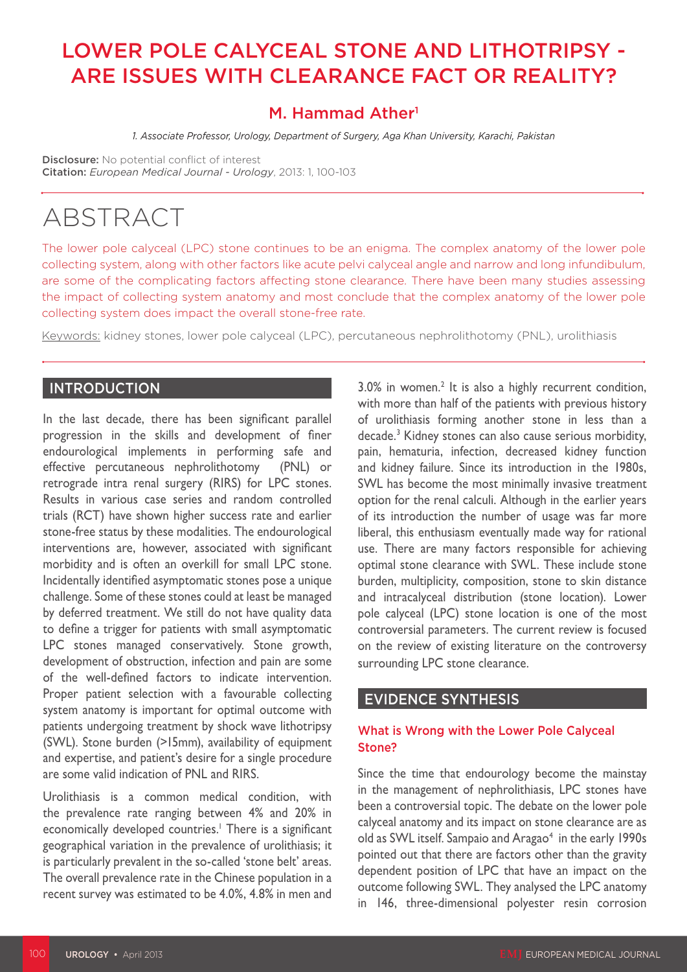# LOWER POLE CALYCEAL STONE AND LITHOTRIPSY - ARE ISSUES WITH CLEARANCE FACT OR REALITY?

# M. Hammad Ather<sup>1</sup>

*1. Associate Professor, Urology, Department of Surgery, Aga Khan University, Karachi, Pakistan*

Disclosure: No potential conflict of interest Citation: *European Medical Journal - Urology*, 2013: 1, 100-103

# ABSTRACT

The lower pole calyceal (LPC) stone continues to be an enigma. The complex anatomy of the lower pole collecting system, along with other factors like acute pelvi calyceal angle and narrow and long infundibulum, are some of the complicating factors affecting stone clearance. There have been many studies assessing the impact of collecting system anatomy and most conclude that the complex anatomy of the lower pole collecting system does impact the overall stone-free rate.

Keywords: kidney stones, lower pole calyceal (LPC), percutaneous nephrolithotomy (PNL), urolithiasis

### INTRODUCTION

In the last decade, there has been significant parallel progression in the skills and development of finer endourological implements in performing safe and effective percutaneous nephrolithotomy (PNL) or retrograde intra renal surgery (RIRS) for LPC stones. Results in various case series and random controlled trials (RCT) have shown higher success rate and earlier stone-free status by these modalities. The endourological interventions are, however, associated with significant morbidity and is often an overkill for small LPC stone. Incidentally identified asymptomatic stones pose a unique challenge. Some of these stones could at least be managed by deferred treatment. We still do not have quality data to define a trigger for patients with small asymptomatic LPC stones managed conservatively. Stone growth, development of obstruction, infection and pain are some of the well-defined factors to indicate intervention. Proper patient selection with a favourable collecting system anatomy is important for optimal outcome with patients undergoing treatment by shock wave lithotripsy (SWL). Stone burden (>15mm), availability of equipment and expertise, and patient's desire for a single procedure are some valid indication of PNL and RIRS.

Urolithiasis is a common medical condition, with the prevalence rate ranging between 4% and 20% in economically developed countries.<sup>1</sup> There is a significant geographical variation in the prevalence of urolithiasis; it is particularly prevalent in the so-called 'stone belt' areas. The overall prevalence rate in the Chinese population in a recent survey was estimated to be 4.0%, 4.8% in men and

 $3.0\%$  in women.<sup>2</sup> It is also a highly recurrent condition, with more than half of the patients with previous history of urolithiasis forming another stone in less than a decade.3 Kidney stones can also cause serious morbidity, pain, hematuria, infection, decreased kidney function and kidney failure. Since its introduction in the 1980s, SWL has become the most minimally invasive treatment option for the renal calculi. Although in the earlier years of its introduction the number of usage was far more liberal, this enthusiasm eventually made way for rational use. There are many factors responsible for achieving optimal stone clearance with SWL. These include stone burden, multiplicity, composition, stone to skin distance and intracalyceal distribution (stone location). Lower pole calyceal (LPC) stone location is one of the most controversial parameters. The current review is focused on the review of existing literature on the controversy surrounding LPC stone clearance.

#### EVIDENCE SYNTHESIS

#### What is Wrong with the Lower Pole Calyceal Stone?

Since the time that endourology become the mainstay in the management of nephrolithiasis, LPC stones have been a controversial topic. The debate on the lower pole calyceal anatomy and its impact on stone clearance are as old as SWL itself. Sampaio and Aragao<sup>4</sup> in the early 1990s pointed out that there are factors other than the gravity dependent position of LPC that have an impact on the outcome following SWL. They analysed the LPC anatomy in 146, three-dimensional polyester resin corrosion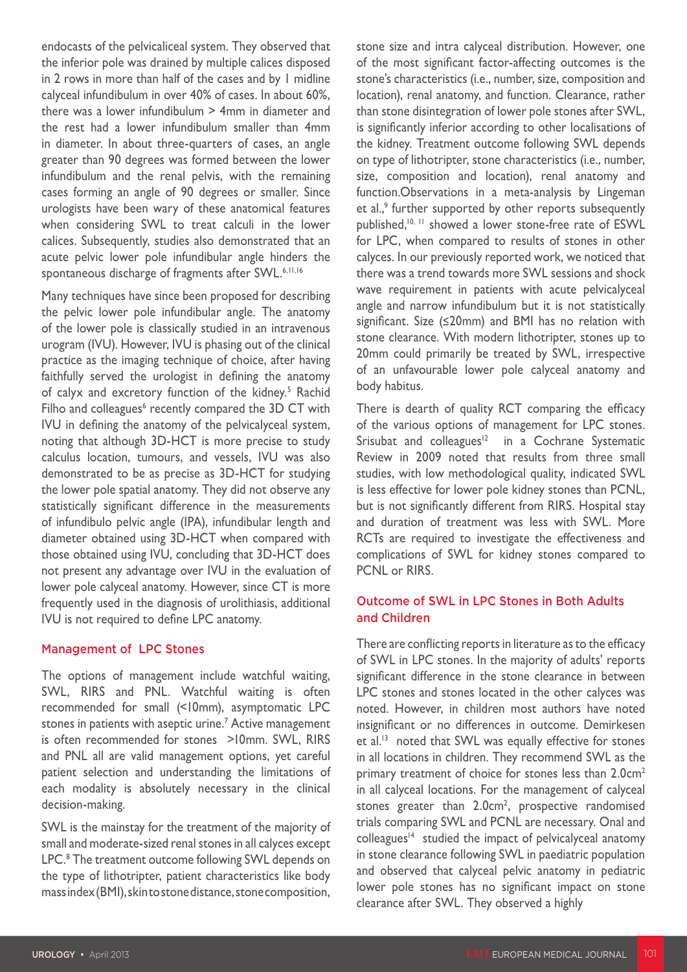endocasts of the pelvicaliceal system. They observed that the inferior pole was drained by multiple calices disposed in 2 rows in more than half of the cases and by 1 midline calyceal infundibulum in over 40% of cases. In about 60%, there was a lower infundibulum > 4mm in diameter and the rest had a lower infundibulum smaller than 4mm in diameter. In about three-quarters of cases, an angle greater than 90 degrees was formed between the lower infundibulum and the renal pelvis, with the remaining cases forming an angle of 90 degrees or smaller. Since urologists have been wary of these anatomical features when considering SWL to treat calculi in the lower calices. Subsequently, studies also demonstrated that an acute pelvic lower pole infundibular angle hinders the spontaneous discharge of fragments after SWL.<sup>6,11,16</sup>

Many techniques have since been proposed for describing the pelvic lower pole infundibular angle. The anatomy of the lower pole is classically studied in an intravenous urogram (IVU). However, IVU is phasing out of the clinical practice as the imaging technique of choice, after having faithfully served the urologist in defining the anatomy of calyx and excretory function of the kidney.<sup>5</sup> Rachid Filho and colleagues $6$  recently compared the 3D CT with IVU in defining the anatomy of the pelvicalyceal system, noting that although 3D-HCT is more precise to study calculus location, tumours, and vessels, IVU was also demonstrated to be as precise as 3D-HCT for studying the lower pole spatial anatomy. They did not observe any statistically significant difference in the measurements of infundibulo pelvic angle (IPA), infundibular length and diameter obtained using 3D-HCT when compared with those obtained using IVU, concluding that 3D-HCT does not present any advantage over IVU in the evaluation of lower pole calyceal anatomy. However, since CT is more frequently used in the diagnosis of urolithiasis, additional IVU is not required to define LPC anatomy.

#### Management of LPC Stones

The options of management include watchful waiting, SWL, RIRS and PNL. Watchful waiting is often recommended for small (<10mm), asymptomatic LPC stones in patients with aseptic urine.<sup>7</sup> Active management is often recommended for stones >10mm. SWL, RIRS and PNL all are valid management options, yet careful patient selection and understanding the limitations of each modality is absolutely necessary in the clinical decision-making.

SWL is the mainstay for the treatment of the majority of small and moderate-sized renal stones in all calyces except LPC.<sup>8</sup> The treatment outcome following SWL depends on the type of lithotripter, patient characteristics like body mass index (BMI), skin to stone distance, stone composition,

stone size and intra calyceal distribution. However, one of the most significant factor-affecting outcomes is the stone's characteristics (i.e., number, size, composition and location), renal anatomy, and function. Clearance, rather than stone disintegration of lower pole stones after SWL, is significantly inferior according to other localisations of the kidney. Treatment outcome following SWL depends on type of lithotripter, stone characteristics (i.e., number, size, composition and location), renal anatomy and function.Observations in a meta-analysis by Lingeman et al.,<sup>9</sup> further supported by other reports subsequently published,10, 11 showed a lower stone-free rate of ESWL for LPC, when compared to results of stones in other calyces. In our previously reported work, we noticed that there was a trend towards more SWL sessions and shock wave requirement in patients with acute pelvicalyceal angle and narrow infundibulum but it is not statistically significant. Size (≤20mm) and BMI has no relation with stone clearance. With modern lithotripter, stones up to 20mm could primarily be treated by SWL, irrespective of an unfavourable lower pole calyceal anatomy and body habitus.

There is dearth of quality RCT comparing the efficacy of the various options of management for LPC stones. Srisubat and colleagues $12$  in a Cochrane Systematic Review in 2009 noted that results from three small studies, with low methodological quality, indicated SWL is less effective for lower pole kidney stones than PCNL, but is not significantly different from RIRS. Hospital stay and duration of treatment was less with SWL. More RCTs are required to investigate the effectiveness and complications of SWL for kidney stones compared to PCNL or RIRS.

#### Outcome of SWL in LPC Stones in Both Adults and Children

There are conflicting reports in literature as to the efficacy of SWL in LPC stones. In the majority of adults' reports significant difference in the stone clearance in between LPC stones and stones located in the other calyces was noted. However, in children most authors have noted insignificant or no differences in outcome. Demirkesen et al.<sup>13</sup> noted that SWL was equally effective for stones in all locations in children. They recommend SWL as the primary treatment of choice for stones less than 2.0cm<sup>2</sup> in all calyceal locations. For the management of calyceal stones greater than  $2.0 \text{cm}^2$ , prospective randomised trials comparing SWL and PCNL are necessary. Onal and colleagues<sup>14</sup> studied the impact of pelvicalyceal anatomy in stone clearance following SWL in paediatric population and observed that calyceal pelvic anatomy in pediatric lower pole stones has no significant impact on stone clearance after SWL. They observed a highly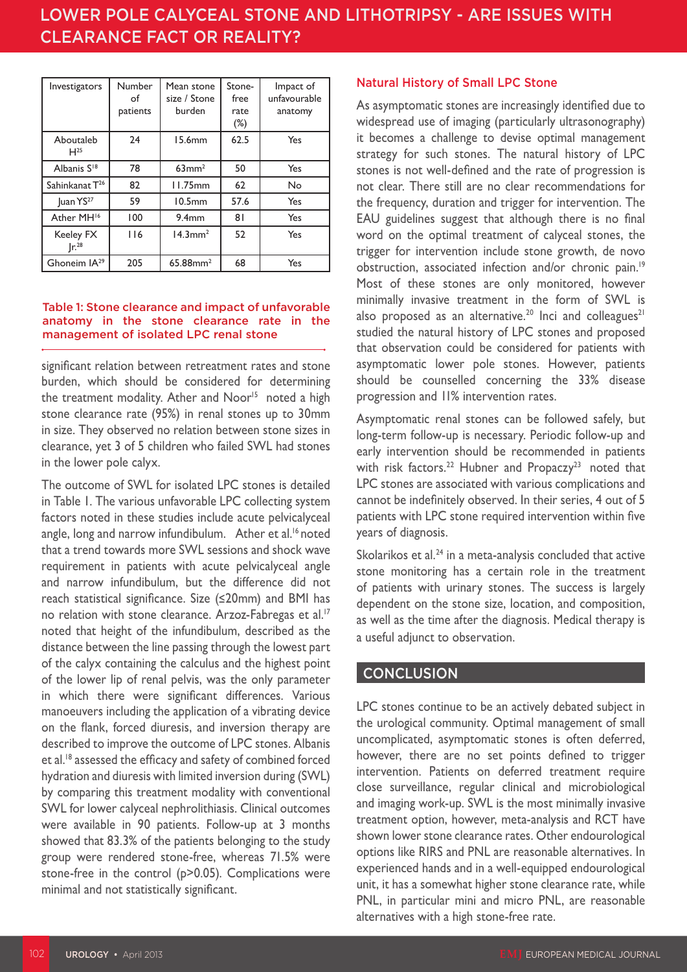# FEMALE SEXUAL DESCRIPTIONS AND UROGANISE SEXUAL DISORDERS AND USE OF A SEXUAL DISORDERS OF A SEXUAL DISORDERS O LOWER POLE CALYCEAL STONE AND LITHOTRIPSY - ARE ISSUES WITH

| Investigators                         | Number<br>οf<br>patients | Mean stone<br>size / Stone<br>burden | Stone-<br>free<br>rate<br>$(\%)$ | Impact of<br>unfavourable<br>anatomy |
|---------------------------------------|--------------------------|--------------------------------------|----------------------------------|--------------------------------------|
| Aboutaleb<br>H <sup>25</sup>          | 24                       | 15.6mm                               | 62.5                             | Yes                                  |
| Albanis S <sup>18</sup>               | 78                       | 63mm <sup>2</sup>                    | 50                               | Yes                                  |
| Sahinkanat T <sup>26</sup>            | 82                       | 11.75mm                              | 62                               | No                                   |
| Juan YS <sup>27</sup>                 | 59                       | 10.5mm                               | 57.6                             | Yes                                  |
| Ather MH <sup>16</sup>                | 100                      | 9.4mm                                | 81                               | Yes                                  |
| <b>Keeley FX</b><br>Ir. <sup>28</sup> | 116                      | $14.3$ mm <sup>2</sup>               | 52                               | Yes                                  |
| Ghoneim IA <sup>29</sup>              | 205                      | $65.88$ mm <sup>2</sup>              | 68                               | Yes                                  |

#### Table 1: Stone clearance and impact of unfavorable anatomy in the stone clearance rate in the management of isolated LPC renal stone

significant relation between retreatment rates and stone burden, which should be considered for determining the treatment modality. Ather and Noor<sup>15</sup> noted a high stone clearance rate (95%) in renal stones up to 30mm in size. They observed no relation between stone sizes in clearance, yet 3 of 5 children who failed SWL had stones in the lower pole calyx.

The outcome of SWL for isolated LPC stones is detailed in Table 1. The various unfavorable LPC collecting system factors noted in these studies include acute pelvicalyceal angle, long and narrow infundibulum. Ather et al.<sup>16</sup> noted that a trend towards more SWL sessions and shock wave requirement in patients with acute pelvicalyceal angle and narrow infundibulum, but the difference did not reach statistical significance. Size (≤20mm) and BMI has no relation with stone clearance. Arzoz-Fabregas et al.<sup>17</sup> noted that height of the infundibulum, described as the distance between the line passing through the lowest part of the calyx containing the calculus and the highest point of the lower lip of renal pelvis, was the only parameter in which there were significant differences. Various manoeuvers including the application of a vibrating device on the flank, forced diuresis, and inversion therapy are described to improve the outcome of LPC stones. Albanis et al.18 assessed the efficacy and safety of combined forced hydration and diuresis with limited inversion during (SWL) by comparing this treatment modality with conventional SWL for lower calyceal nephrolithiasis. Clinical outcomes were available in 90 patients. Follow-up at 3 months showed that 83.3% of the patients belonging to the study group were rendered stone-free, whereas 71.5% were stone-free in the control (p>0.05). Complications were minimal and not statistically significant.

#### Natural History of Small LPC Stone

As asymptomatic stones are increasingly identified due to widespread use of imaging (particularly ultrasonography) it becomes a challenge to devise optimal management strategy for such stones. The natural history of LPC stones is not well-defined and the rate of progression is not clear. There still are no clear recommendations for the frequency, duration and trigger for intervention. The EAU guidelines suggest that although there is no final word on the optimal treatment of calyceal stones, the trigger for intervention include stone growth, de novo obstruction, associated infection and/or chronic pain.<sup>19</sup> Most of these stones are only monitored, however minimally invasive treatment in the form of SWL is also proposed as an alternative.<sup>20</sup> Inci and colleagues<sup>21</sup> studied the natural history of LPC stones and proposed that observation could be considered for patients with asymptomatic lower pole stones. However, patients should be counselled concerning the 33% disease progression and 11% intervention rates.

Asymptomatic renal stones can be followed safely, but long-term follow-up is necessary. Periodic follow-up and early intervention should be recommended in patients with risk factors.<sup>22</sup> Hubner and Propaczy<sup>23</sup> noted that LPC stones are associated with various complications and cannot be indefinitely observed. In their series, 4 out of 5 patients with LPC stone required intervention within five years of diagnosis.

Skolarikos et al. $24$  in a meta-analysis concluded that active stone monitoring has a certain role in the treatment of patients with urinary stones. The success is largely dependent on the stone size, location, and composition, as well as the time after the diagnosis. Medical therapy is a useful adjunct to observation.

#### **CONCLUSION**

LPC stones continue to be an actively debated subject in the urological community. Optimal management of small uncomplicated, asymptomatic stones is often deferred, however, there are no set points defined to trigger intervention. Patients on deferred treatment require close surveillance, regular clinical and microbiological and imaging work-up. SWL is the most minimally invasive treatment option, however, meta-analysis and RCT have shown lower stone clearance rates. Other endourological options like RIRS and PNL are reasonable alternatives. In experienced hands and in a well-equipped endourological unit, it has a somewhat higher stone clearance rate, while PNL, in particular mini and micro PNL, are reasonable alternatives with a high stone-free rate.